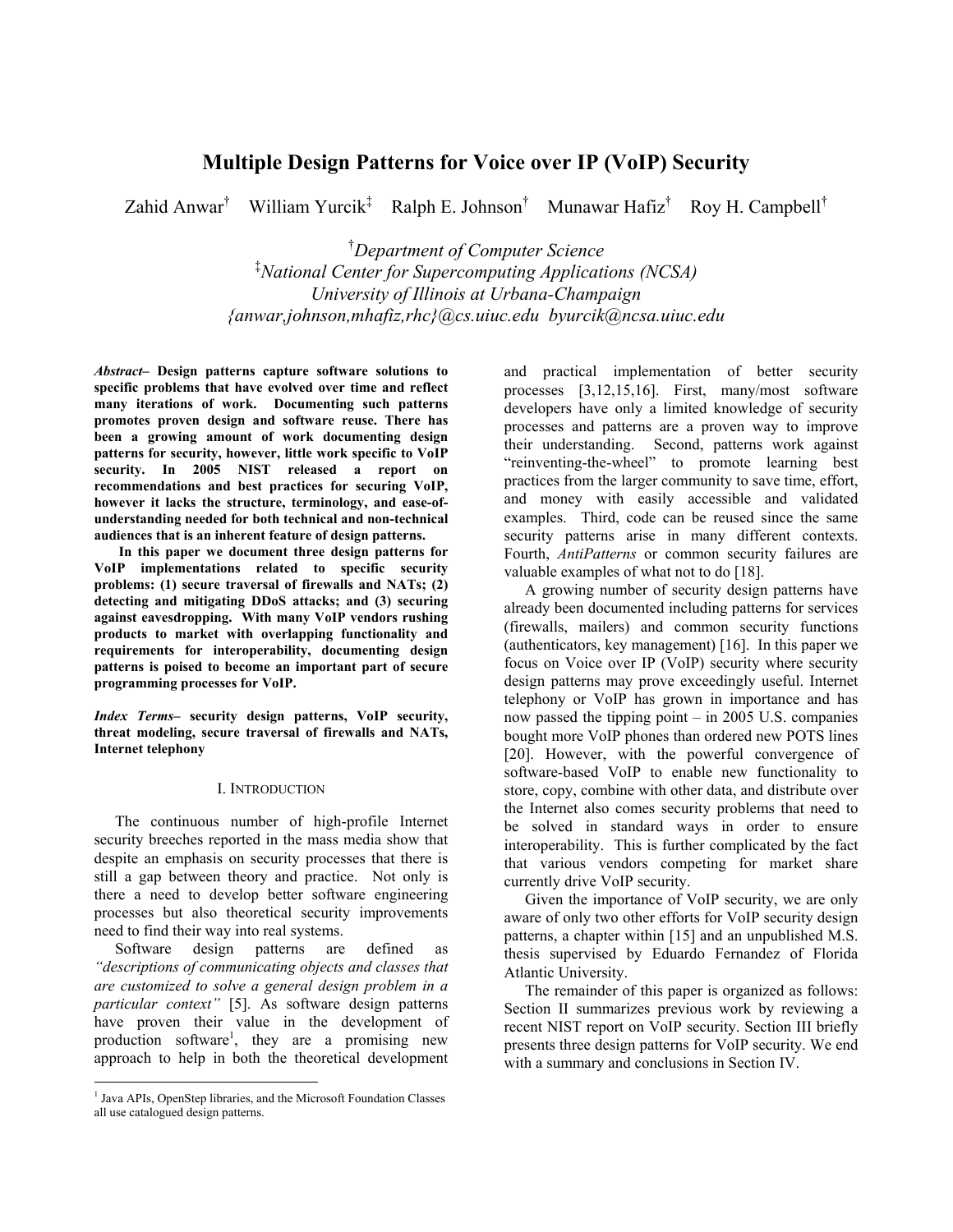# **Multiple Design Patterns for Voice over IP (VoIP) Security**

Zahid Anwar<sup>†</sup> William Yurcik<sup>‡</sup> Ralph E. Johnson<sup>†</sup> Munawar Hafiz<sup>†</sup> Roy H. Campbell<sup>†</sup>

† *Department of Computer Science*  ‡ *National Center for Supercomputing Applications (NCSA) University of Illinois at Urbana-Champaign {anwar,johnson,mhafiz,rhc}@cs.uiuc.edu byurcik@ncsa.uiuc.edu* 

*Abstract–* **Design patterns capture software solutions to specific problems that have evolved over time and reflect many iterations of work. Documenting such patterns promotes proven design and software reuse. There has been a growing amount of work documenting design patterns for security, however, little work specific to VoIP security. In 2005 NIST released a report on recommendations and best practices for securing VoIP, however it lacks the structure, terminology, and ease-ofunderstanding needed for both technical and non-technical audiences that is an inherent feature of design patterns.** 

 **In this paper we document three design patterns for VoIP implementations related to specific security problems: (1) secure traversal of firewalls and NATs; (2) detecting and mitigating DDoS attacks; and (3) securing against eavesdropping. With many VoIP vendors rushing products to market with overlapping functionality and requirements for interoperability, documenting design patterns is poised to become an important part of secure programming processes for VoIP.** 

*Index Terms–* **security design patterns, VoIP security, threat modeling, secure traversal of firewalls and NATs, Internet telephony** 

#### I. INTRODUCTION

The continuous number of high-profile Internet security breeches reported in the mass media show that despite an emphasis on security processes that there is still a gap between theory and practice. Not only is there a need to develop better software engineering processes but also theoretical security improvements need to find their way into real systems.

Software design patterns are defined as *"descriptions of communicating objects and classes that are customized to solve a general design problem in a particular context"* [5]. As software design patterns have proven their value in the development of production software<sup>1</sup>, they are a promising new approach to help in both the theoretical development

 $\overline{a}$ 

and practical implementation of better security processes [3,12,15,16]. First, many/most software developers have only a limited knowledge of security processes and patterns are a proven way to improve their understanding. Second, patterns work against "reinventing-the-wheel" to promote learning best practices from the larger community to save time, effort, and money with easily accessible and validated examples. Third, code can be reused since the same security patterns arise in many different contexts. Fourth, *AntiPatterns* or common security failures are valuable examples of what not to do [18].

A growing number of security design patterns have already been documented including patterns for services (firewalls, mailers) and common security functions (authenticators, key management) [16]. In this paper we focus on Voice over IP (VoIP) security where security design patterns may prove exceedingly useful. Internet telephony or VoIP has grown in importance and has now passed the tipping point – in 2005 U.S. companies bought more VoIP phones than ordered new POTS lines [20]. However, with the powerful convergence of software-based VoIP to enable new functionality to store, copy, combine with other data, and distribute over the Internet also comes security problems that need to be solved in standard ways in order to ensure interoperability. This is further complicated by the fact that various vendors competing for market share currently drive VoIP security.

Given the importance of VoIP security, we are only aware of only two other efforts for VoIP security design patterns, a chapter within [15] and an unpublished M.S. thesis supervised by Eduardo Fernandez of Florida Atlantic University.

The remainder of this paper is organized as follows: Section II summarizes previous work by reviewing a recent NIST report on VoIP security. Section III briefly presents three design patterns for VoIP security. We end with a summary and conclusions in Section IV.

<sup>&</sup>lt;sup>1</sup> Java APIs, OpenStep libraries, and the Microsoft Foundation Classes all use catalogued design patterns.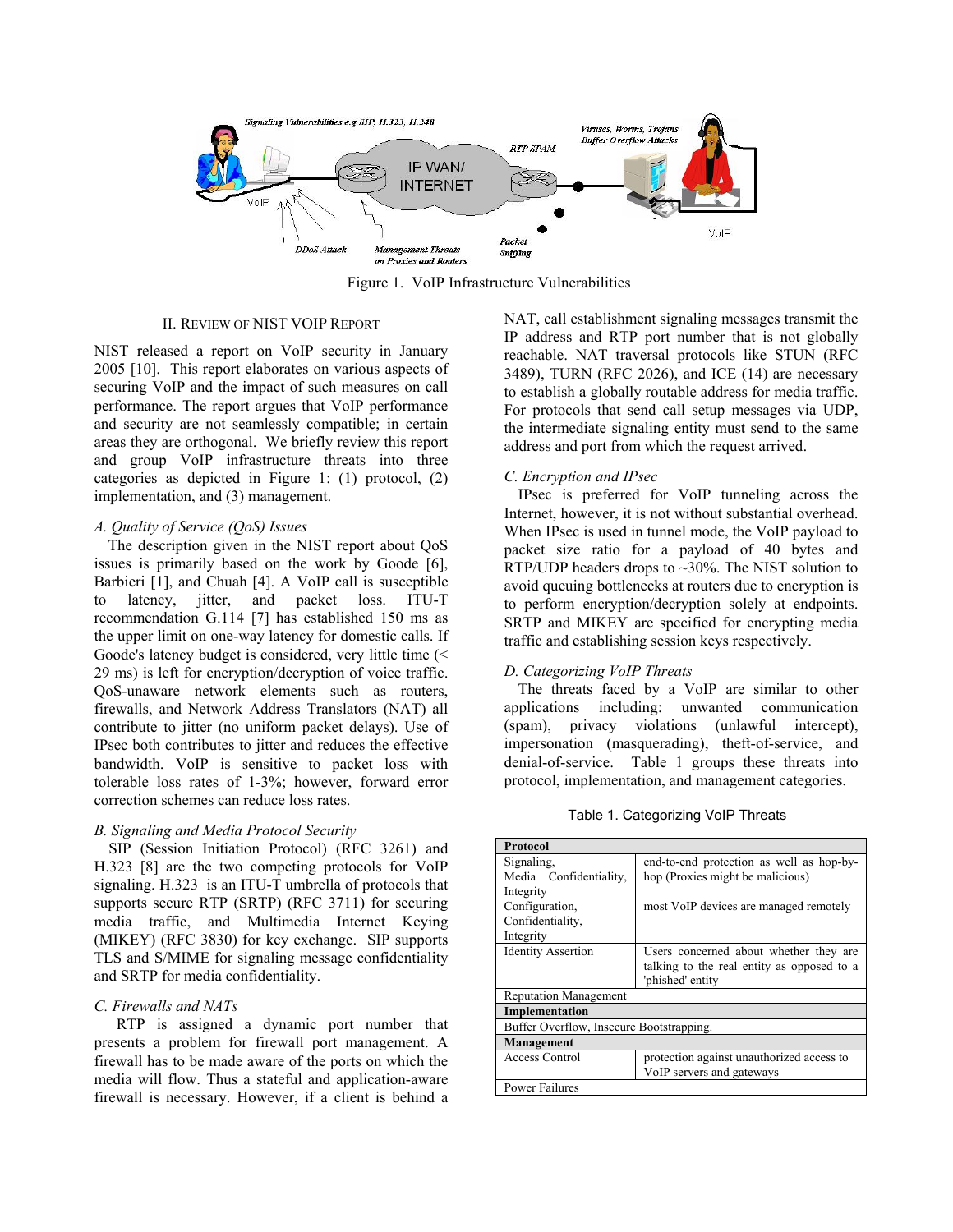

Figure 1. VoIP Infrastructure Vulnerabilities

#### II. REVIEW OF NIST VOIP REPORT

NIST released a report on VoIP security in January 2005 [10]. This report elaborates on various aspects of securing VoIP and the impact of such measures on call performance. The report argues that VoIP performance and security are not seamlessly compatible; in certain areas they are orthogonal. We briefly review this report and group VoIP infrastructure threats into three categories as depicted in Figure 1: (1) protocol, (2) implementation, and (3) management.

# *A. Quality of Service (QoS) Issues*

The description given in the NIST report about QoS issues is primarily based on the work by Goode [6], Barbieri [1], and Chuah [4]. A VoIP call is susceptible to latency, jitter, and packet loss. ITU-T recommendation G.114 [7] has established 150 ms as the upper limit on one-way latency for domestic calls. If Goode's latency budget is considered, very little time (< 29 ms) is left for encryption/decryption of voice traffic. QoS-unaware network elements such as routers, firewalls, and Network Address Translators (NAT) all contribute to jitter (no uniform packet delays). Use of IPsec both contributes to jitter and reduces the effective bandwidth. VoIP is sensitive to packet loss with tolerable loss rates of 1-3%; however, forward error correction schemes can reduce loss rates.

# *B. Signaling and Media Protocol Security*

SIP (Session Initiation Protocol) (RFC 3261) and H.323 [8] are the two competing protocols for VoIP signaling. H.323 is an ITU-T umbrella of protocols that supports secure RTP (SRTP) (RFC 3711) for securing media traffic, and Multimedia Internet Keying (MIKEY) (RFC 3830) for key exchange. SIP supports TLS and S/MIME for signaling message confidentiality and SRTP for media confidentiality.

# *C. Firewalls and NATs*

RTP is assigned a dynamic port number that presents a problem for firewall port management. A firewall has to be made aware of the ports on which the media will flow. Thus a stateful and application-aware firewall is necessary. However, if a client is behind a

NAT, call establishment signaling messages transmit the IP address and RTP port number that is not globally reachable. NAT traversal protocols like STUN (RFC 3489), TURN (RFC 2026), and ICE (14) are necessary to establish a globally routable address for media traffic. For protocols that send call setup messages via UDP, the intermediate signaling entity must send to the same address and port from which the request arrived.

# *C. Encryption and IPsec*

IPsec is preferred for VoIP tunneling across the Internet, however, it is not without substantial overhead. When IPsec is used in tunnel mode, the VoIP payload to packet size ratio for a payload of 40 bytes and RTP/UDP headers drops to  $\sim$ 30%. The NIST solution to avoid queuing bottlenecks at routers due to encryption is to perform encryption/decryption solely at endpoints. SRTP and MIKEY are specified for encrypting media traffic and establishing session keys respectively.

# *D. Categorizing VoIP Threats*

The threats faced by a VoIP are similar to other applications including: unwanted communication (spam), privacy violations (unlawful intercept), impersonation (masquerading), theft-of-service, and denial-of-service. Table 1 groups these threats into protocol, implementation, and management categories.

Table 1. Categorizing VoIP Threats

| Protocol                                 |                                            |  |
|------------------------------------------|--------------------------------------------|--|
| Signaling.                               | end-to-end protection as well as hop-by-   |  |
| Media Confidentiality,                   | hop (Proxies might be malicious)           |  |
| Integrity                                |                                            |  |
| Configuration,                           | most VoIP devices are managed remotely     |  |
| Confidentiality,                         |                                            |  |
| Integrity                                |                                            |  |
| <b>Identity Assertion</b>                | Users concerned about whether they are     |  |
|                                          | talking to the real entity as opposed to a |  |
|                                          | phished' entity                            |  |
| <b>Reputation Management</b>             |                                            |  |
| Implementation                           |                                            |  |
| Buffer Overflow, Insecure Bootstrapping. |                                            |  |
| Management                               |                                            |  |
| Access Control                           | protection against unauthorized access to  |  |
|                                          | VoIP servers and gateways                  |  |
| <b>Power Failures</b>                    |                                            |  |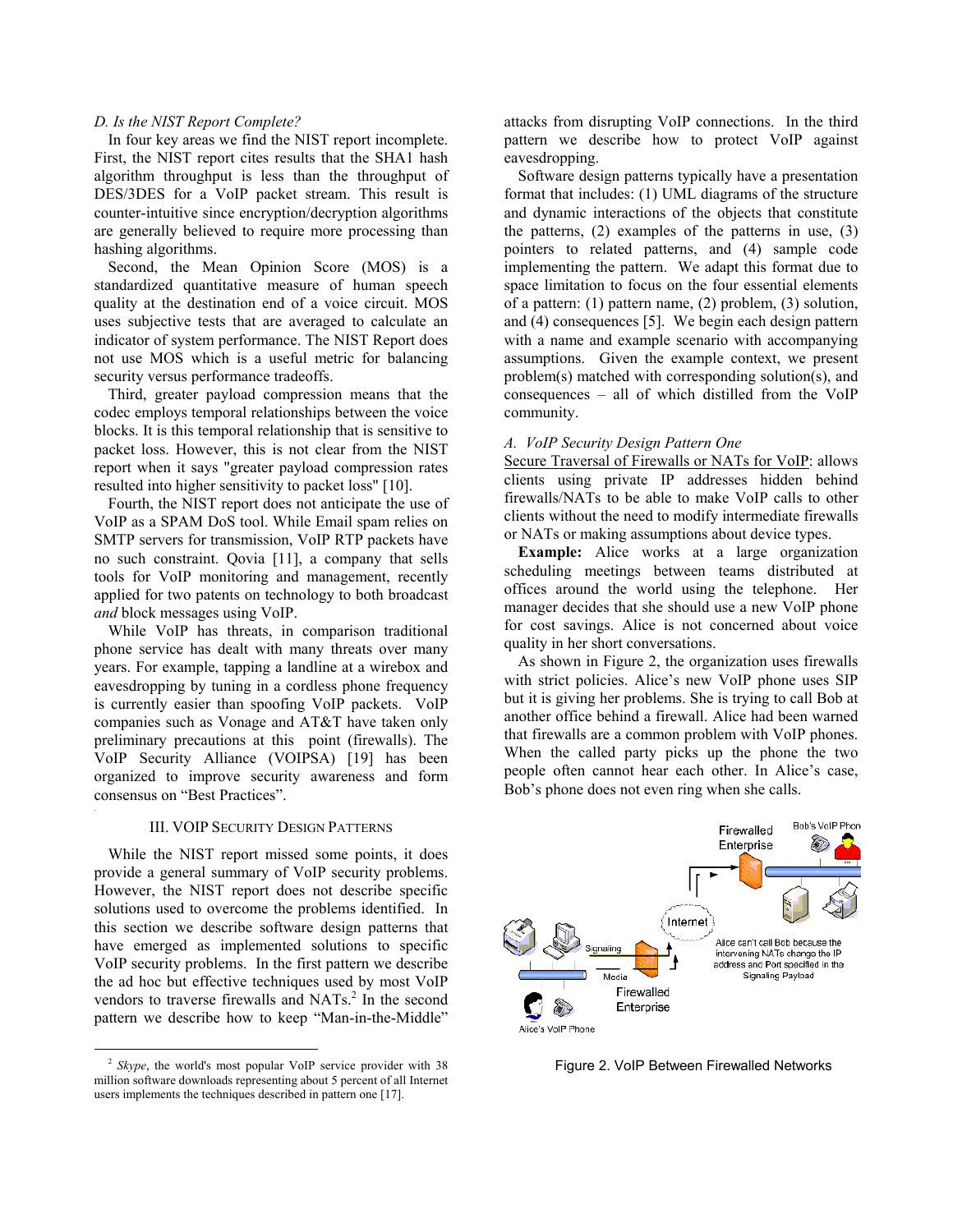#### *D. Is the NIST Report Complete?*

In four key areas we find the NIST report incomplete. First, the NIST report cites results that the SHA1 hash algorithm throughput is less than the throughput of DES/3DES for a VoIP packet stream. This result is counter-intuitive since encryption/decryption algorithms are generally believed to require more processing than hashing algorithms.

Second, the Mean Opinion Score (MOS) is a standardized quantitative measure of human speech quality at the destination end of a voice circuit. MOS uses subjective tests that are averaged to calculate an indicator of system performance. The NIST Report does not use MOS which is a useful metric for balancing security versus performance tradeoffs.

Third, greater payload compression means that the codec employs temporal relationships between the voice blocks. It is this temporal relationship that is sensitive to packet loss. However, this is not clear from the NIST report when it says "greater payload compression rates resulted into higher sensitivity to packet loss" [10].

Fourth, the NIST report does not anticipate the use of VoIP as a SPAM DoS tool. While Email spam relies on SMTP servers for transmission, VoIP RTP packets have no such constraint. Qovia [11], a company that sells tools for VoIP monitoring and management, recently applied for two patents on technology to both broadcast *and* block messages using VoIP.

While VoIP has threats, in comparison traditional phone service has dealt with many threats over many years. For example, tapping a landline at a wirebox and eavesdropping by tuning in a cordless phone frequency is currently easier than spoofing VoIP packets. VoIP companies such as Vonage and AT&T have taken only preliminary precautions at this point (firewalls). The VoIP Security Alliance (VOIPSA) [19] has been organized to improve security awareness and form consensus on "Best Practices".

#### III. VOIP SECURITY DESIGN PATTERNS

While the NIST report missed some points, it does provide a general summary of VoIP security problems. However, the NIST report does not describe specific solutions used to overcome the problems identified. In this section we describe software design patterns that have emerged as implemented solutions to specific VoIP security problems. In the first pattern we describe the ad hoc but effective techniques used by most VoIP vendors to traverse firewalls and NATs.<sup>2</sup> In the second pattern we describe how to keep "Man-in-the-Middle"

attacks from disrupting VoIP connections. In the third pattern we describe how to protect VoIP against eavesdropping.

Software design patterns typically have a presentation format that includes: (1) UML diagrams of the structure and dynamic interactions of the objects that constitute the patterns, (2) examples of the patterns in use, (3) pointers to related patterns, and (4) sample code implementing the pattern. We adapt this format due to space limitation to focus on the four essential elements of a pattern: (1) pattern name, (2) problem, (3) solution, and (4) consequences [5]. We begin each design pattern with a name and example scenario with accompanying assumptions. Given the example context, we present problem(s) matched with corresponding solution(s), and consequences – all of which distilled from the VoIP community.

#### *A. VoIP Security Design Pattern One*

Secure Traversal of Firewalls or NATs for VoIP: allows clients using private IP addresses hidden behind firewalls/NATs to be able to make VoIP calls to other clients without the need to modify intermediate firewalls or NATs or making assumptions about device types.

**Example:** Alice works at a large organization scheduling meetings between teams distributed at offices around the world using the telephone. Her manager decides that she should use a new VoIP phone for cost savings. Alice is not concerned about voice quality in her short conversations.

As shown in Figure 2, the organization uses firewalls with strict policies. Alice's new VoIP phone uses SIP but it is giving her problems. She is trying to call Bob at another office behind a firewall. Alice had been warned that firewalls are a common problem with VoIP phones. When the called party picks up the phone the two people often cannot hear each other. In Alice's case, Bob's phone does not even ring when she calls.



Figure 2. VoIP Between Firewalled Networks

 <sup>2</sup> *Skype*, the world's most popular VoIP service provider with 38 million software downloads representing about 5 percent of all Internet users implements the techniques described in pattern one [17].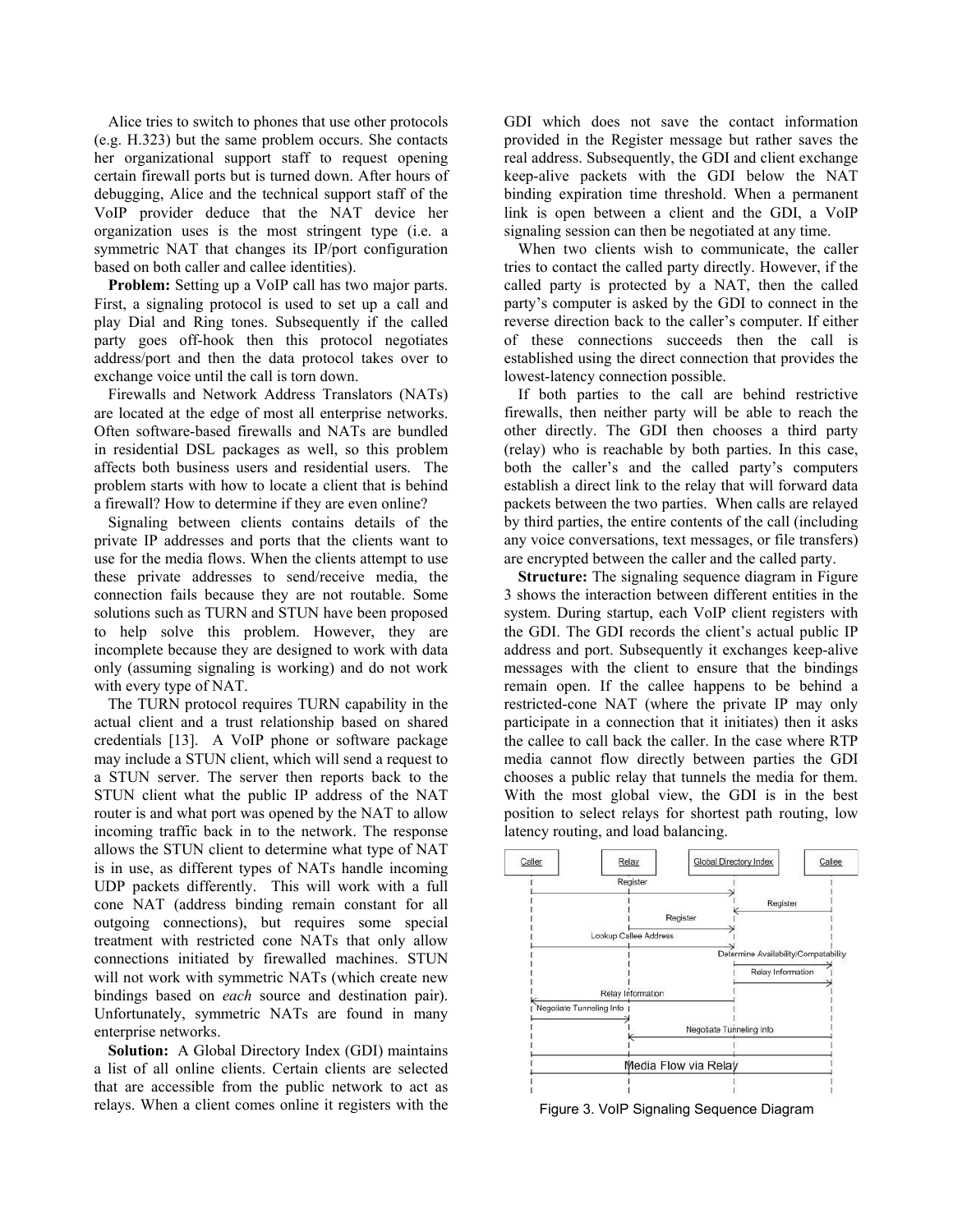Alice tries to switch to phones that use other protocols (e.g. H.323) but the same problem occurs. She contacts her organizational support staff to request opening certain firewall ports but is turned down. After hours of debugging, Alice and the technical support staff of the VoIP provider deduce that the NAT device her organization uses is the most stringent type (i.e. a symmetric NAT that changes its IP/port configuration based on both caller and callee identities).

**Problem:** Setting up a VoIP call has two major parts. First, a signaling protocol is used to set up a call and play Dial and Ring tones. Subsequently if the called party goes off-hook then this protocol negotiates address/port and then the data protocol takes over to exchange voice until the call is torn down.

Firewalls and Network Address Translators (NATs) are located at the edge of most all enterprise networks. Often software-based firewalls and NATs are bundled in residential DSL packages as well, so this problem affects both business users and residential users. The problem starts with how to locate a client that is behind a firewall? How to determine if they are even online?

Signaling between clients contains details of the private IP addresses and ports that the clients want to use for the media flows. When the clients attempt to use these private addresses to send/receive media, the connection fails because they are not routable. Some solutions such as TURN and STUN have been proposed to help solve this problem. However, they are incomplete because they are designed to work with data only (assuming signaling is working) and do not work with every type of NAT.

The TURN protocol requires TURN capability in the actual client and a trust relationship based on shared credentials [13]. A VoIP phone or software package may include a STUN client, which will send a request to a STUN server. The server then reports back to the STUN client what the public IP address of the NAT router is and what port was opened by the NAT to allow incoming traffic back in to the network. The response allows the STUN client to determine what type of NAT is in use, as different types of NATs handle incoming UDP packets differently. This will work with a full cone NAT (address binding remain constant for all outgoing connections), but requires some special treatment with restricted cone NATs that only allow connections initiated by firewalled machines. STUN will not work with symmetric NATs (which create new bindings based on *each* source and destination pair). Unfortunately, symmetric NATs are found in many enterprise networks.

**Solution:** A Global Directory Index (GDI) maintains a list of all online clients. Certain clients are selected that are accessible from the public network to act as relays. When a client comes online it registers with the GDI which does not save the contact information provided in the Register message but rather saves the real address. Subsequently, the GDI and client exchange keep-alive packets with the GDI below the NAT binding expiration time threshold. When a permanent link is open between a client and the GDI, a VoIP signaling session can then be negotiated at any time.

When two clients wish to communicate, the caller tries to contact the called party directly. However, if the called party is protected by a NAT, then the called party's computer is asked by the GDI to connect in the reverse direction back to the caller's computer. If either of these connections succeeds then the call is established using the direct connection that provides the lowest-latency connection possible.

If both parties to the call are behind restrictive firewalls, then neither party will be able to reach the other directly. The GDI then chooses a third party (relay) who is reachable by both parties. In this case, both the caller's and the called party's computers establish a direct link to the relay that will forward data packets between the two parties. When calls are relayed by third parties, the entire contents of the call (including any voice conversations, text messages, or file transfers) are encrypted between the caller and the called party.

**Structure:** The signaling sequence diagram in Figure 3 shows the interaction between different entities in the system. During startup, each VoIP client registers with the GDI. The GDI records the client's actual public IP address and port. Subsequently it exchanges keep-alive messages with the client to ensure that the bindings remain open. If the callee happens to be behind a restricted-cone NAT (where the private IP may only participate in a connection that it initiates) then it asks the callee to call back the caller. In the case where RTP media cannot flow directly between parties the GDI chooses a public relay that tunnels the media for them. With the most global view, the GDI is in the best position to select relays for shortest path routing, low latency routing, and load balancing.



Figure 3. VoIP Signaling Sequence Diagram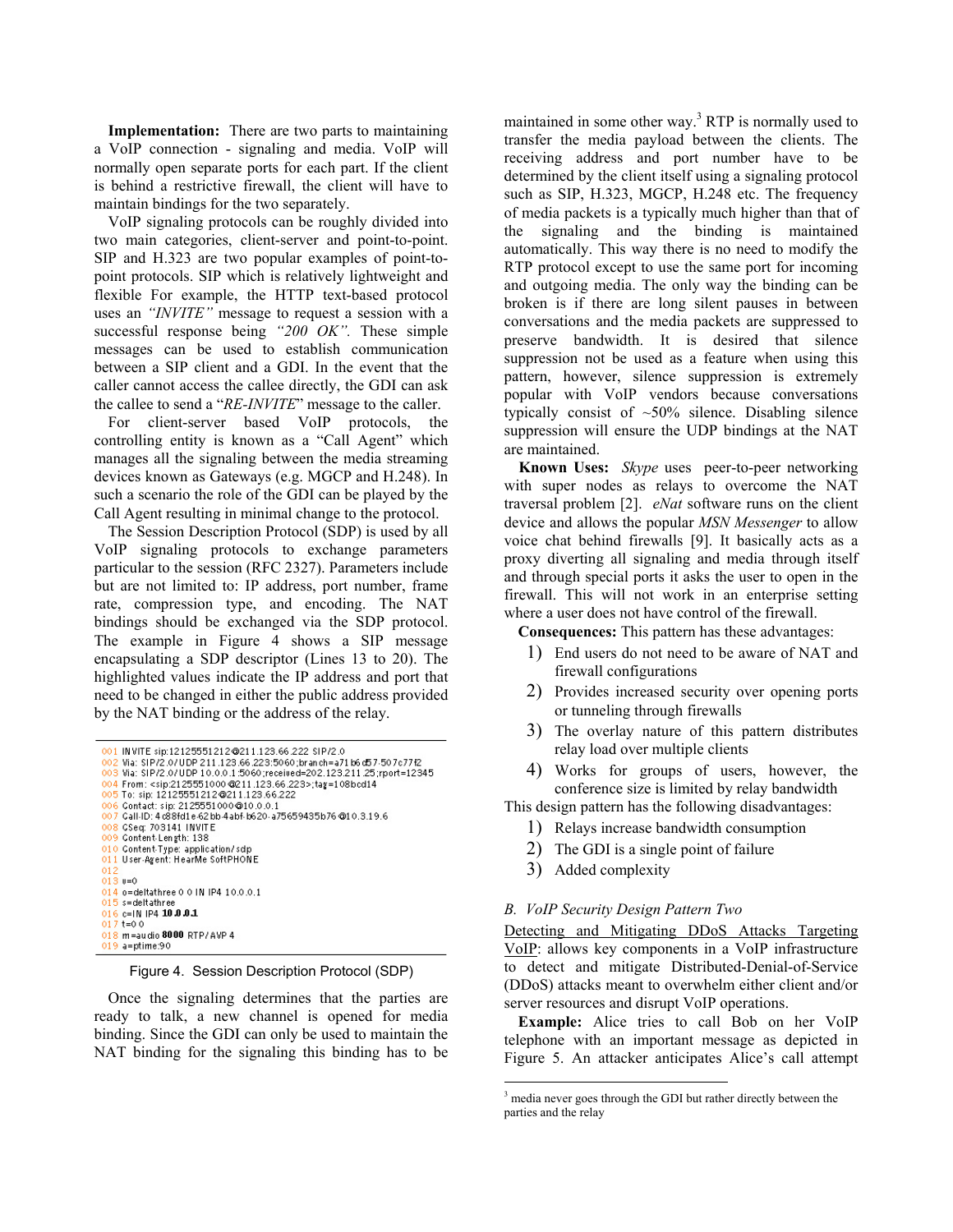**Implementation:** There are two parts to maintaining a VoIP connection - signaling and media. VoIP will normally open separate ports for each part. If the client is behind a restrictive firewall, the client will have to maintain bindings for the two separately.

VoIP signaling protocols can be roughly divided into two main categories, client-server and point-to-point. SIP and H.323 are two popular examples of point-topoint protocols. SIP which is relatively lightweight and flexible For example, the HTTP text-based protocol uses an *"INVITE"* message to request a session with a successful response being *"200 OK".* These simple messages can be used to establish communication between a SIP client and a GDI. In the event that the caller cannot access the callee directly, the GDI can ask the callee to send a "*RE-INVITE*" message to the caller.

For client-server based VoIP protocols, the controlling entity is known as a "Call Agent" which manages all the signaling between the media streaming devices known as Gateways (e.g. MGCP and H.248). In such a scenario the role of the GDI can be played by the Call Agent resulting in minimal change to the protocol.

The Session Description Protocol (SDP) is used by all VoIP signaling protocols to exchange parameters particular to the session (RFC 2327). Parameters include but are not limited to: IP address, port number, frame rate, compression type, and encoding. The NAT bindings should be exchanged via the SDP protocol. The example in Figure 4 shows a SIP message encapsulating a SDP descriptor (Lines 13 to 20). The highlighted values indicate the IP address and port that need to be changed in either the public address provided by the NAT binding or the address of the relay.

```
001 INVITE sip:12125551212@211.123.66.222 SIP/2.0
002 Ma: SIP/2.0/UDP 211.123.66.223:5060;branch=a71 b6d57-507c77f2<br>003 Ma: SIP/2.0/UDP 211.123.66.223:5060;branch=a71 b6d57-507c77f2
004From: <sip:2125551000 @211.123.66.223>;tag=108bcd14
005 To: sip: 12125551212 @211.123.66.222
    Contact: sip: 2125551000@10.0.0.1
006
     Call-ID: 4 c88fd1e-62 bb-4 abf-b620-a75659435b76 @10.3.19.6
007
008 CSed: 703141 INVITE
ŏŏ9
     Content Length: 138
010 Content Type: application/sdp<br>011 User-Agent: HearMe SoftPHONE
013 = 0014 o=deltathree 0 0 IN IP4 10.0.0.1
015 s=deltathree<br>016 c=IN IP4 10.0.0.1<br>017 t=0 0
     m=audio 8000 RTP/AVP 4
019 a=ptime:90
```
Figure 4. Session Description Protocol (SDP)

Once the signaling determines that the parties are ready to talk, a new channel is opened for media binding. Since the GDI can only be used to maintain the NAT binding for the signaling this binding has to be

maintained in some other way.<sup>3</sup> RTP is normally used to transfer the media payload between the clients. The receiving address and port number have to be determined by the client itself using a signaling protocol such as SIP, H.323, MGCP, H.248 etc. The frequency of media packets is a typically much higher than that of the signaling and the binding is maintained automatically. This way there is no need to modify the RTP protocol except to use the same port for incoming and outgoing media. The only way the binding can be broken is if there are long silent pauses in between conversations and the media packets are suppressed to preserve bandwidth. It is desired that silence suppression not be used as a feature when using this pattern, however, silence suppression is extremely popular with VoIP vendors because conversations typically consist of ~50% silence. Disabling silence suppression will ensure the UDP bindings at the NAT are maintained.

**Known Uses:** *Skype* uses peer-to-peer networking with super nodes as relays to overcome the NAT traversal problem [2]. *eNat* software runs on the client device and allows the popular *MSN Messenger* to allow voice chat behind firewalls [9]. It basically acts as a proxy diverting all signaling and media through itself and through special ports it asks the user to open in the firewall. This will not work in an enterprise setting where a user does not have control of the firewall.

**Consequences:** This pattern has these advantages:

- 1) End users do not need to be aware of NAT and firewall configurations
- 2) Provides increased security over opening ports or tunneling through firewalls
- 3) The overlay nature of this pattern distributes relay load over multiple clients
- 4) Works for groups of users, however, the conference size is limited by relay bandwidth

This design pattern has the following disadvantages:

- 1) Relays increase bandwidth consumption
- 2) The GDI is a single point of failure
- 3) Added complexity

 $\overline{a}$ 

# *B. VoIP Security Design Pattern Two*

Detecting and Mitigating DDoS Attacks Targeting VoIP: allows key components in a VoIP infrastructure to detect and mitigate Distributed-Denial-of-Service (DDoS) attacks meant to overwhelm either client and/or server resources and disrupt VoIP operations.

**Example:** Alice tries to call Bob on her VoIP telephone with an important message as depicted in Figure 5. An attacker anticipates Alice's call attempt

<sup>&</sup>lt;sup>3</sup> media never goes through the GDI but rather directly between the parties and the relay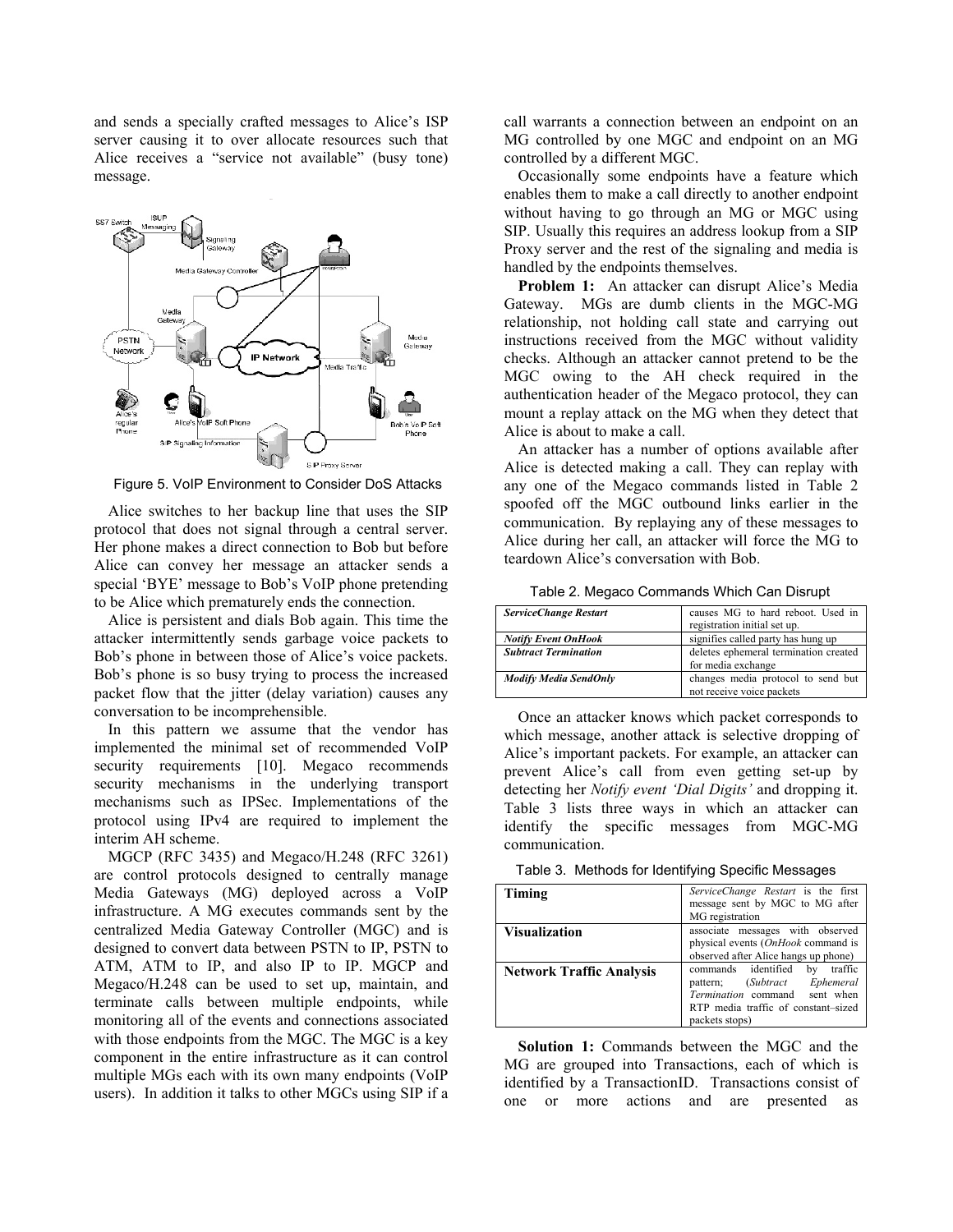and sends a specially crafted messages to Alice's ISP server causing it to over allocate resources such that Alice receives a "service not available" (busy tone) message.



Figure 5. VoIP Environment to Consider DoS Attacks

Alice switches to her backup line that uses the SIP protocol that does not signal through a central server. Her phone makes a direct connection to Bob but before Alice can convey her message an attacker sends a special 'BYE' message to Bob's VoIP phone pretending to be Alice which prematurely ends the connection.

Alice is persistent and dials Bob again. This time the attacker intermittently sends garbage voice packets to Bob's phone in between those of Alice's voice packets. Bob's phone is so busy trying to process the increased packet flow that the jitter (delay variation) causes any conversation to be incomprehensible.

In this pattern we assume that the vendor has implemented the minimal set of recommended VoIP security requirements [10]. Megaco recommends security mechanisms in the underlying transport mechanisms such as IPSec. Implementations of the protocol using IPv4 are required to implement the interim AH scheme.

MGCP (RFC 3435) and Megaco/H.248 (RFC 3261) are control protocols designed to centrally manage Media Gateways (MG) deployed across a VoIP infrastructure. A MG executes commands sent by the centralized Media Gateway Controller (MGC) and is designed to convert data between PSTN to IP, PSTN to ATM, ATM to IP, and also IP to IP. MGCP and Megaco/H.248 can be used to set up, maintain, and terminate calls between multiple endpoints, while monitoring all of the events and connections associated with those endpoints from the MGC. The MGC is a key component in the entire infrastructure as it can control multiple MGs each with its own many endpoints (VoIP users). In addition it talks to other MGCs using SIP if a call warrants a connection between an endpoint on an MG controlled by one MGC and endpoint on an MG controlled by a different MGC.

Occasionally some endpoints have a feature which enables them to make a call directly to another endpoint without having to go through an MG or MGC using SIP. Usually this requires an address lookup from a SIP Proxy server and the rest of the signaling and media is handled by the endpoints themselves.

**Problem 1:** An attacker can disrupt Alice's Media Gateway. MGs are dumb clients in the MGC-MG relationship, not holding call state and carrying out instructions received from the MGC without validity checks. Although an attacker cannot pretend to be the MGC owing to the AH check required in the authentication header of the Megaco protocol, they can mount a replay attack on the MG when they detect that Alice is about to make a call.

An attacker has a number of options available after Alice is detected making a call. They can replay with any one of the Megaco commands listed in Table 2 spoofed off the MGC outbound links earlier in the communication. By replaying any of these messages to Alice during her call, an attacker will force the MG to teardown Alice's conversation with Bob.

Table 2. Megaco Commands Which Can Disrupt

| Table 2. Megaco Commands Willen Carl Distupt |                                       |
|----------------------------------------------|---------------------------------------|
| <b>ServiceChange Restart</b>                 | causes MG to hard reboot. Used in     |
|                                              | registration initial set up.          |
| <b>Notify Event OnHook</b>                   | signifies called party has hung up    |
| <b>Subtract Termination</b>                  | deletes ephemeral termination created |
|                                              | for media exchange                    |
| <b>Modify Media SendOnly</b>                 | changes media protocol to send but    |
|                                              | not receive voice packets             |

Once an attacker knows which packet corresponds to which message, another attack is selective dropping of Alice's important packets. For example, an attacker can prevent Alice's call from even getting set-up by detecting her *Notify event 'Dial Digits'* and dropping it. Table 3 lists three ways in which an attacker can identify the specific messages from MGC-MG communication.

Table 3. Methods for Identifying Specific Messages

| Timing                          | ServiceChange Restart is the first<br>message sent by MGC to MG after                                                                                          |
|---------------------------------|----------------------------------------------------------------------------------------------------------------------------------------------------------------|
| <b>Visualization</b>            | MG registration<br>associate messages with observed<br>physical events (OnHook command is<br>observed after Alice hangs up phone)                              |
| <b>Network Traffic Analysis</b> | commands identified<br>traffic<br>by<br>pattern; (Subtract Ephemeral<br>Termination command sent when<br>RTP media traffic of constant-sized<br>packets stops) |

**Solution 1:** Commands between the MGC and the MG are grouped into Transactions, each of which is identified by a TransactionID. Transactions consist of one or more actions and are presented as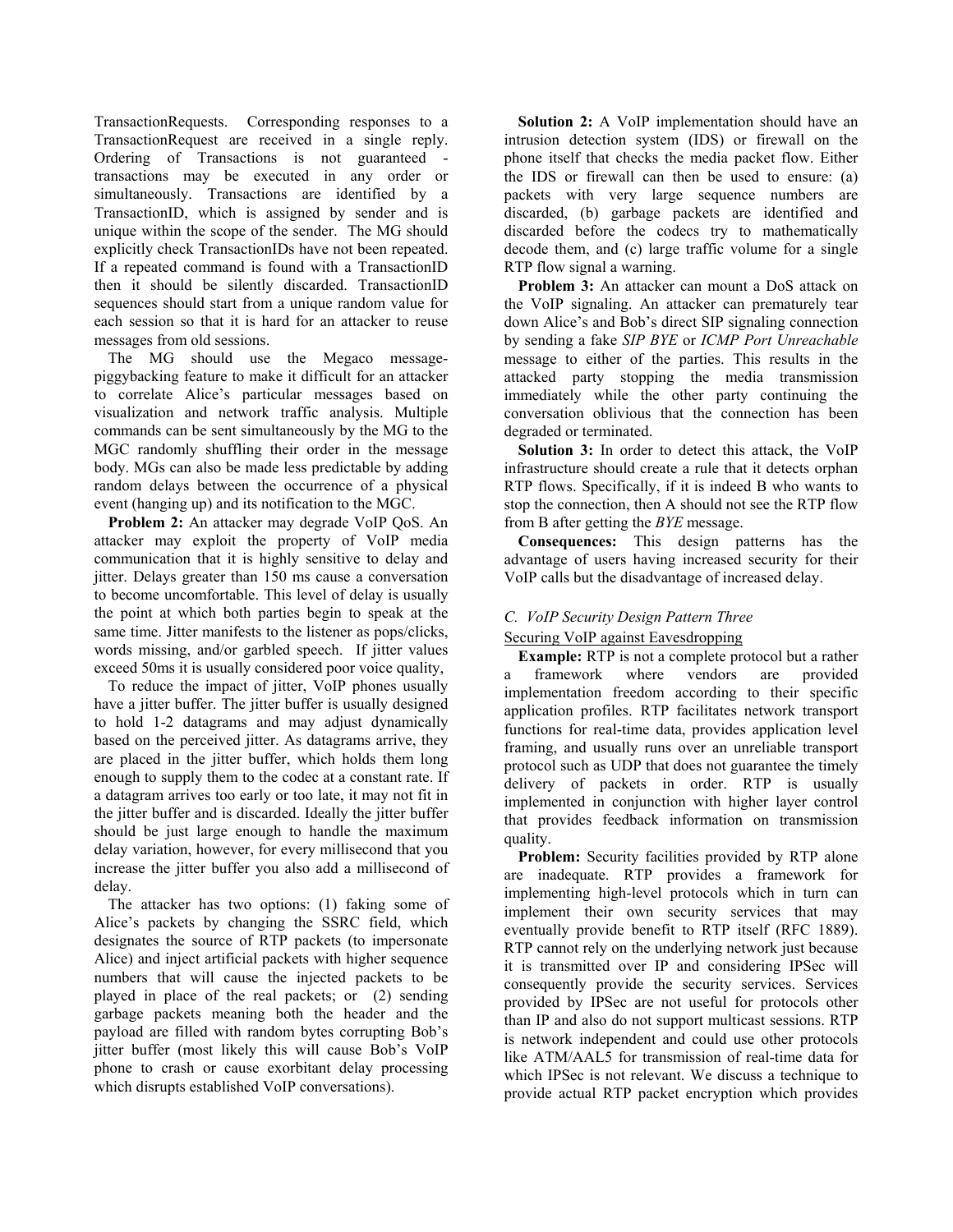TransactionRequests. Corresponding responses to a TransactionRequest are received in a single reply. Ordering of Transactions is not guaranteed transactions may be executed in any order or simultaneously. Transactions are identified by a TransactionID, which is assigned by sender and is unique within the scope of the sender. The MG should explicitly check TransactionIDs have not been repeated. If a repeated command is found with a TransactionID then it should be silently discarded. TransactionID sequences should start from a unique random value for each session so that it is hard for an attacker to reuse messages from old sessions.

The MG should use the Megaco messagepiggybacking feature to make it difficult for an attacker to correlate Alice's particular messages based on visualization and network traffic analysis. Multiple commands can be sent simultaneously by the MG to the MGC randomly shuffling their order in the message body. MGs can also be made less predictable by adding random delays between the occurrence of a physical event (hanging up) and its notification to the MGC.

**Problem 2:** An attacker may degrade VoIP QoS. An attacker may exploit the property of VoIP media communication that it is highly sensitive to delay and jitter. Delays greater than 150 ms cause a conversation to become uncomfortable. This level of delay is usually the point at which both parties begin to speak at the same time. Jitter manifests to the listener as pops/clicks, words missing, and/or garbled speech. If jitter values exceed 50ms it is usually considered poor voice quality,

To reduce the impact of jitter, VoIP phones usually have a jitter buffer. The jitter buffer is usually designed to hold 1-2 datagrams and may adjust dynamically based on the perceived jitter. As datagrams arrive, they are placed in the jitter buffer, which holds them long enough to supply them to the codec at a constant rate. If a datagram arrives too early or too late, it may not fit in the jitter buffer and is discarded. Ideally the jitter buffer should be just large enough to handle the maximum delay variation, however, for every millisecond that you increase the jitter buffer you also add a millisecond of delay.

The attacker has two options: (1) faking some of Alice's packets by changing the SSRC field, which designates the source of RTP packets (to impersonate Alice) and inject artificial packets with higher sequence numbers that will cause the injected packets to be played in place of the real packets; or (2) sending garbage packets meaning both the header and the payload are filled with random bytes corrupting Bob's jitter buffer (most likely this will cause Bob's VoIP phone to crash or cause exorbitant delay processing which disrupts established VoIP conversations).

**Solution 2:** A VoIP implementation should have an intrusion detection system (IDS) or firewall on the phone itself that checks the media packet flow. Either the IDS or firewall can then be used to ensure: (a) packets with very large sequence numbers are discarded, (b) garbage packets are identified and discarded before the codecs try to mathematically decode them, and (c) large traffic volume for a single RTP flow signal a warning.

**Problem 3:** An attacker can mount a DoS attack on the VoIP signaling. An attacker can prematurely tear down Alice's and Bob's direct SIP signaling connection by sending a fake *SIP BYE* or *ICMP Port Unreachable* message to either of the parties. This results in the attacked party stopping the media transmission immediately while the other party continuing the conversation oblivious that the connection has been degraded or terminated.

**Solution 3:** In order to detect this attack, the VoIP infrastructure should create a rule that it detects orphan RTP flows. Specifically, if it is indeed B who wants to stop the connection, then A should not see the RTP flow from B after getting the *BYE* message.

**Consequences:** This design patterns has the advantage of users having increased security for their VoIP calls but the disadvantage of increased delay.

# *C. VoIP Security Design Pattern Three*

# Securing VoIP against Eavesdropping

**Example:** RTP is not a complete protocol but a rather a framework where vendors are provided implementation freedom according to their specific application profiles. RTP facilitates network transport functions for real-time data, provides application level framing, and usually runs over an unreliable transport protocol such as UDP that does not guarantee the timely delivery of packets in order. RTP is usually implemented in conjunction with higher layer control that provides feedback information on transmission quality.

**Problem:** Security facilities provided by RTP alone are inadequate. RTP provides a framework for implementing high-level protocols which in turn can implement their own security services that may eventually provide benefit to RTP itself (RFC 1889). RTP cannot rely on the underlying network just because it is transmitted over IP and considering IPSec will consequently provide the security services. Services provided by IPSec are not useful for protocols other than IP and also do not support multicast sessions. RTP is network independent and could use other protocols like ATM/AAL5 for transmission of real-time data for which IPSec is not relevant. We discuss a technique to provide actual RTP packet encryption which provides